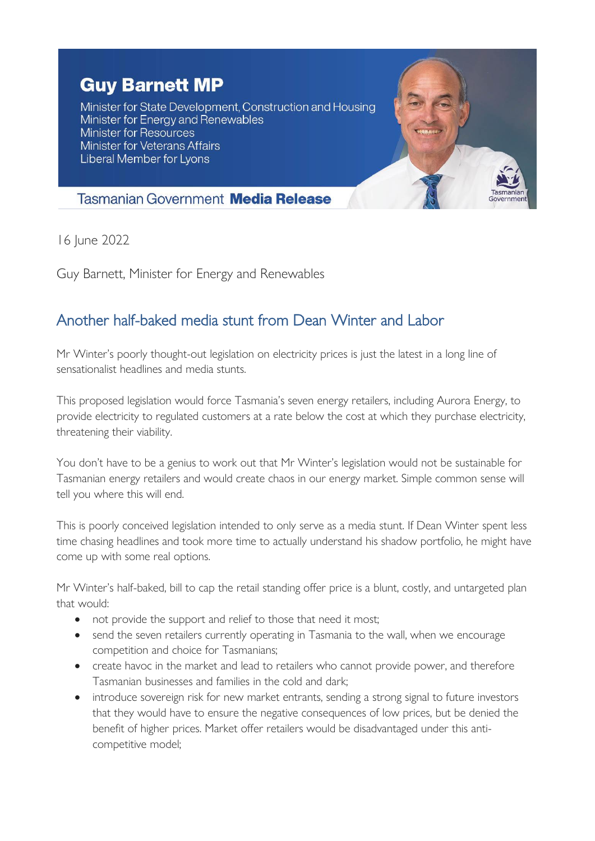## **Guy Barnett MP**

Minister for State Development, Construction and Housing Minister for Energy and Renewables Minister for Resources **Minister for Veterans Affairs** Liberal Member for Lyons



## **Tasmanian Government Media Release**

16 June 2022

Guy Barnett, Minister for Energy and Renewables

## Another half-baked media stunt from Dean Winter and Labor

Mr Winter's poorly thought-out legislation on electricity prices is just the latest in a long line of sensationalist headlines and media stunts.

This proposed legislation would force Tasmania's seven energy retailers, including Aurora Energy, to provide electricity to regulated customers at a rate below the cost at which they purchase electricity, threatening their viability.

You don't have to be a genius to work out that Mr Winter's legislation would not be sustainable for Tasmanian energy retailers and would create chaos in our energy market. Simple common sense will tell you where this will end.

This is poorly conceived legislation intended to only serve as a media stunt. If Dean Winter spent less time chasing headlines and took more time to actually understand his shadow portfolio, he might have come up with some real options.

Mr Winter's half-baked, bill to cap the retail standing offer price is a blunt, costly, and untargeted plan that would:

- not provide the support and relief to those that need it most;
- send the seven retailers currently operating in Tasmania to the wall, when we encourage competition and choice for Tasmanians;
- create havoc in the market and lead to retailers who cannot provide power, and therefore Tasmanian businesses and families in the cold and dark;
- introduce sovereign risk for new market entrants, sending a strong signal to future investors that they would have to ensure the negative consequences of low prices, but be denied the benefit of higher prices. Market offer retailers would be disadvantaged under this anticompetitive model;